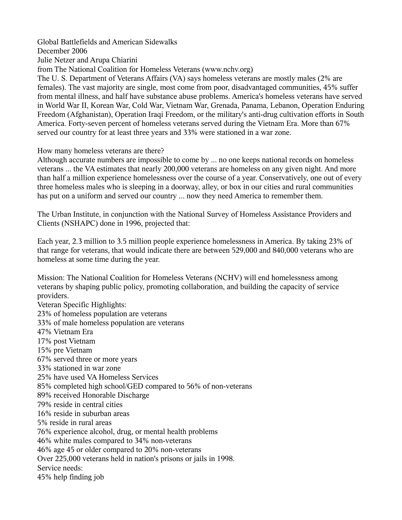Global Battlefields and American Sidewalks December 2006 Julie Netzer and Arupa Chiarini from The National Coalition for Homeless Veterans (www.nchv.org) The U. S. Department of Veterans Affairs (VA) says homeless veterans are mostly males (2% are females). The vast majority are single, most come from poor, disadvantaged communities, 45% suffer from mental illness, and half have substance abuse problems. America's homeless veterans have served in World War II, Korean War, Cold War, Vietnam War, Grenada, Panama, Lebanon, Operation Enduring Freedom (Afghanistan), Operation Iraqi Freedom, or the military's anti-drug cultivation efforts in South America. Forty-seven percent of homeless veterans served during the Vietnam Era. More than 67% served our country for at least three years and 33% were stationed in a war zone.

How many homeless veterans are there?

Although accurate numbers are impossible to come by ... no one keeps national records on homeless veterans ... the VA estimates that nearly 200,000 veterans are homeless on any given night. And more than half a million experience homelessness over the course of a year. Conservatively, one out of every three homeless males who is sleeping in a doorway, alley, or box in our cities and rural communities has put on a uniform and served our country ... now they need America to remember them.

The Urban Institute, in conjunction with the National Survey of Homeless Assistance Providers and Clients (NSHAPC) done in 1996, projected that:

Each year, 2.3 million to 3.5 million people experience homelessness in America. By taking 23% of that range for veterans, that would indicate there are between 529,000 and 840,000 veterans who are homeless at some time during the year.

Mission: The National Coalition for Homeless Veterans (NCHV) will end homelessness among veterans by shaping public policy, promoting collaboration, and building the capacity of service providers.

Veteran Specific Highlights: 23% of homeless population are veterans 33% of male homeless population are veterans 47% Vietnam Era 17% post Vietnam 15% pre Vietnam 67% served three or more years 33% stationed in war zone 25% have used VA Homeless Services 85% completed high school/GED compared to 56% of non-veterans 89% received Honorable Discharge 79% reside in central cities 16% reside in suburban areas 5% reside in rural areas 76% experience alcohol, drug, or mental health problems 46% white males compared to 34% non-veterans 46% age 45 or older compared to 20% non-veterans Over 225,000 veterans held in nation's prisons or jails in 1998. Service needs: 45% help finding job